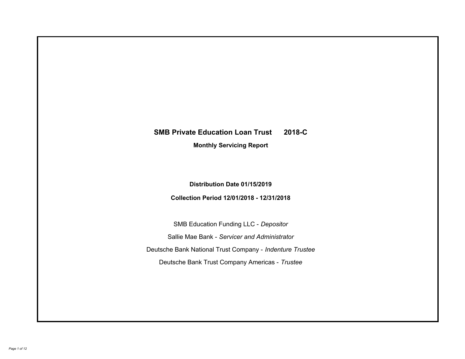# **SMB Private Education Loan Trust 2018-C Monthly Servicing Report**

## **Distribution Date 01/15/2019**

## **Collection Period 12/01/2018 - 12/31/2018**

SMB Education Funding LLC - *Depositor* Sallie Mae Bank - *Servicer and Administrator* Deutsche Bank National Trust Company - *Indenture Trustee* Deutsche Bank Trust Company Americas - *Trustee*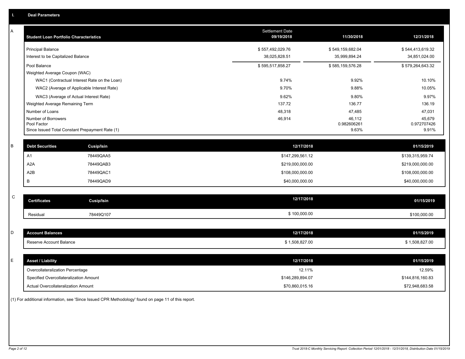| Α | <b>Student Loan Portfolio Characteristics</b>   |                   | Settlement Date<br>09/19/2018 | 11/30/2018            | 12/31/2018            |
|---|-------------------------------------------------|-------------------|-------------------------------|-----------------------|-----------------------|
|   | <b>Principal Balance</b>                        |                   | \$557,492,029.76              | \$549,159,682.04      | \$544,413,619.32      |
|   | Interest to be Capitalized Balance              |                   | 38,025,828.51                 | 35,999,894.24         | 34,851,024.00         |
|   | Pool Balance                                    |                   | \$595,517,858.27              | \$585,159,576.28      | \$579,264,643.32      |
|   | Weighted Average Coupon (WAC)                   |                   |                               |                       |                       |
|   | WAC1 (Contractual Interest Rate on the Loan)    |                   | 9.74%                         | 9.92%                 | 10.10%                |
|   | WAC2 (Average of Applicable Interest Rate)      |                   | 9.70%                         | 9.88%                 | 10.05%                |
|   | WAC3 (Average of Actual Interest Rate)          |                   | 9.62%                         | 9.80%                 | 9.97%                 |
|   | Weighted Average Remaining Term                 |                   | 137.72                        | 136.77                | 136.19                |
|   | Number of Loans                                 |                   | 48,318                        | 47,485                | 47,031                |
|   | Number of Borrowers<br>Pool Factor              |                   | 46,914                        | 46,112<br>0.982606261 | 45,679<br>0.972707426 |
|   | Since Issued Total Constant Prepayment Rate (1) |                   |                               | 9.63%                 | 9.91%                 |
|   |                                                 |                   |                               |                       |                       |
| B | <b>Debt Securities</b>                          | Cusip/Isin        | 12/17/2018                    |                       | 01/15/2019            |
|   | A <sub>1</sub>                                  | 78449QAA5         | \$147,299,561.12              |                       | \$139,315,959.74      |
|   | A <sub>2</sub> A                                | 78449QAB3         | \$219,000,000.00              |                       | \$219,000,000.00      |
|   | A2B                                             | 78449QAC1         | \$108,000,000.00              |                       | \$108,000,000.00      |
|   | В                                               | 78449QAD9         | \$40,000,000.00               |                       | \$40,000,000.00       |
|   |                                                 |                   |                               |                       |                       |
| C | <b>Certificates</b>                             | <b>Cusip/Isin</b> | 12/17/2018                    |                       | 01/15/2019            |
|   | Residual                                        | 78449Q107         | \$100,000.00                  |                       | \$100,000.00          |
|   |                                                 |                   |                               |                       |                       |
| D | <b>Account Balances</b>                         |                   | 12/17/2018                    |                       | 01/15/2019            |
|   | Reserve Account Balance                         |                   | \$1,508,827.00                |                       | \$1,508,827.00        |
|   |                                                 |                   |                               |                       |                       |
| E | <b>Asset / Liability</b>                        |                   | 12/17/2018                    |                       | 01/15/2019            |
|   | Overcollateralization Percentage                |                   | 12.11%                        |                       | 12.59%                |
|   | Specified Overcollateralization Amount          |                   | \$146,289,894.07              |                       | \$144,816,160.83      |
|   | <b>Actual Overcollateralization Amount</b>      |                   | \$70,860,015.16               |                       | \$72,948,683.58       |

(1) For additional information, see 'Since Issued CPR Methodology' found on page 11 of this report.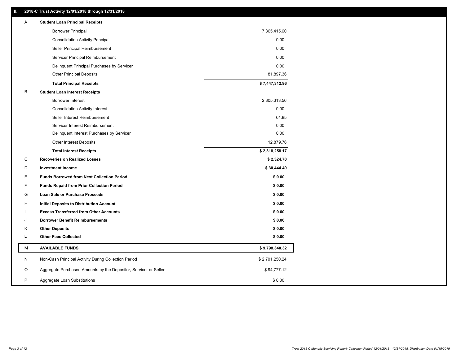## **II. 2018-C Trust Activity 12/01/2018 through 12/31/2018**

| Α | <b>Student Loan Principal Receipts</b>                           |                |  |
|---|------------------------------------------------------------------|----------------|--|
|   | <b>Borrower Principal</b>                                        | 7,365,415.60   |  |
|   | <b>Consolidation Activity Principal</b>                          | 0.00           |  |
|   | Seller Principal Reimbursement                                   | 0.00           |  |
|   | Servicer Principal Reimbursement                                 | 0.00           |  |
|   | Delinquent Principal Purchases by Servicer                       | 0.00           |  |
|   | <b>Other Principal Deposits</b>                                  | 81,897.36      |  |
|   | <b>Total Principal Receipts</b>                                  | \$7,447,312.96 |  |
| B | <b>Student Loan Interest Receipts</b>                            |                |  |
|   | <b>Borrower Interest</b>                                         | 2,305,313.56   |  |
|   | <b>Consolidation Activity Interest</b>                           | 0.00           |  |
|   | Seller Interest Reimbursement                                    | 64.85          |  |
|   | Servicer Interest Reimbursement                                  | 0.00           |  |
|   | Delinquent Interest Purchases by Servicer                        | 0.00           |  |
|   | <b>Other Interest Deposits</b>                                   | 12,879.76      |  |
|   | <b>Total Interest Receipts</b>                                   | \$2,318,258.17 |  |
| C | <b>Recoveries on Realized Losses</b>                             | \$2,324.70     |  |
| D | <b>Investment Income</b>                                         | \$30,444.49    |  |
| Ε | <b>Funds Borrowed from Next Collection Period</b>                | \$0.00         |  |
| F | <b>Funds Repaid from Prior Collection Period</b>                 | \$0.00         |  |
| G | Loan Sale or Purchase Proceeds                                   | \$0.00         |  |
| н | Initial Deposits to Distribution Account                         | \$0.00         |  |
|   | <b>Excess Transferred from Other Accounts</b>                    | \$0.00         |  |
| J | <b>Borrower Benefit Reimbursements</b>                           | \$0.00         |  |
| Κ | <b>Other Deposits</b>                                            | \$0.00         |  |
| L | <b>Other Fees Collected</b>                                      | \$0.00         |  |
| М | <b>AVAILABLE FUNDS</b>                                           | \$9,798,340.32 |  |
| N | Non-Cash Principal Activity During Collection Period             | \$2,701,250.24 |  |
| O | Aggregate Purchased Amounts by the Depositor, Servicer or Seller | \$94,777.12    |  |
| P | Aggregate Loan Substitutions                                     | \$0.00         |  |
|   |                                                                  |                |  |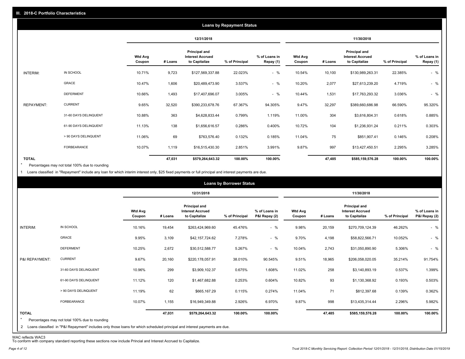|                   |                       |                          |         |                                                           | <b>Loans by Repayment Status</b> |                            |                          |         |                                                           |                |                            |
|-------------------|-----------------------|--------------------------|---------|-----------------------------------------------------------|----------------------------------|----------------------------|--------------------------|---------|-----------------------------------------------------------|----------------|----------------------------|
|                   |                       |                          |         | 12/31/2018                                                |                                  |                            |                          |         | 11/30/2018                                                |                |                            |
|                   |                       | <b>Wtd Avg</b><br>Coupon | # Loans | Principal and<br><b>Interest Accrued</b><br>to Capitalize | % of Principal                   | % of Loans in<br>Repay (1) | <b>Wtd Avg</b><br>Coupon | # Loans | Principal and<br><b>Interest Accrued</b><br>to Capitalize | % of Principal | % of Loans in<br>Repay (1) |
| INTERIM:          | IN SCHOOL             | 10.71%                   | 9,723   | \$127,569,337.88                                          | 22.023%                          | $-$ %                      | 10.54%                   | 10,100  | \$130,989,263.31                                          | 22.385%        | $-$ %                      |
|                   | <b>GRACE</b>          | 10.47%                   | 1,606   | \$20,489,473.90                                           | 3.537%                           | $-$ %                      | 10.20%                   | 2,077   | \$27,613,239.20                                           | 4.719%         | $-$ %                      |
|                   | <b>DEFERMENT</b>      | 10.66%                   | 1,493   | \$17,407,696.07                                           | 3.005%                           | $-$ %                      | 10.44%                   | 1,531   | \$17,763,293.32                                           | 3.036%         | $-$ %                      |
| <b>REPAYMENT:</b> | <b>CURRENT</b>        | 9.65%                    | 32,520  | \$390,233,678.76                                          | 67.367%                          | 94.305%                    | 9.47%                    | 32,297  | \$389,660,686.98                                          | 66.590%        | 95.320%                    |
|                   | 31-60 DAYS DELINQUENT | 10.88%                   | 363     | \$4,628,833.44                                            | 0.799%                           | 1.119%                     | 11.00%                   | 304     | \$3,616,804.31                                            | 0.618%         | 0.885%                     |
|                   | 61-90 DAYS DELINQUENT | 11.13%                   | 138     | \$1,656,616.57                                            | 0.286%                           | 0.400%                     | 10.72%                   | 104     | \$1,236,931.24                                            | 0.211%         | 0.303%                     |
|                   | > 90 DAYS DELINQUENT  | 11.06%                   | 69      | \$763,576.40                                              | 0.132%                           | 0.185%                     | 11.04%                   | 75      | \$851,907.41                                              | 0.146%         | 0.208%                     |
|                   | FORBEARANCE           | 10.07%                   | 1,119   | \$16,515,430.30                                           | 2.851%                           | 3.991%                     | 9.87%                    | 997     | \$13,427,450.51                                           | 2.295%         | 3.285%                     |
| <b>TOTAL</b>      |                       |                          | 47,031  | \$579,264,643.32                                          | 100.00%                          | 100.00%                    |                          | 47,485  | \$585,159,576.28                                          | 100.00%        | 100.00%                    |

Percentages may not total 100% due to rounding  $\star$ 

1 Loans classified in "Repayment" include any loan for which interim interest only, \$25 fixed payments or full principal and interest payments are due.

|                         |                                                                                                                              |                          |         |                                                           | <b>Loans by Borrower Status</b> |                                |                          |         |                                                           |                |                                |
|-------------------------|------------------------------------------------------------------------------------------------------------------------------|--------------------------|---------|-----------------------------------------------------------|---------------------------------|--------------------------------|--------------------------|---------|-----------------------------------------------------------|----------------|--------------------------------|
|                         |                                                                                                                              |                          |         | 12/31/2018                                                |                                 |                                |                          |         | 11/30/2018                                                |                |                                |
|                         |                                                                                                                              | <b>Wtd Avg</b><br>Coupon | # Loans | Principal and<br><b>Interest Accrued</b><br>to Capitalize | % of Principal                  | % of Loans in<br>P&I Repay (2) | <b>Wtd Avg</b><br>Coupon | # Loans | Principal and<br><b>Interest Accrued</b><br>to Capitalize | % of Principal | % of Loans in<br>P&I Repay (2) |
| INTERIM:                | IN SCHOOL                                                                                                                    | 10.16%                   | 19,454  | \$263,424,969.60                                          | 45.476%                         | $-$ %                          | 9.98%                    | 20,159  | \$270,709,124.39                                          | 46.262%        | $-$ %                          |
|                         | GRACE                                                                                                                        | 9.95%                    | 3,109   | \$42,157,724.62                                           | 7.278%                          | $-$ %                          | 9.70%                    | 4,198   | \$58,822,566.71                                           | 10.052%        | $-$ %                          |
|                         | <b>DEFERMENT</b>                                                                                                             | 10.25%                   | 2,672   | \$30,512,588.77                                           | 5.267%                          | $-$ %                          | 10.04%                   | 2,743   | \$31,050,890.90                                           | 5.306%         | $-$ %                          |
| P&I REPAYMENT:          | <b>CURRENT</b>                                                                                                               | 9.67%                    | 20,160  | \$220,178,057.91                                          | 38.010%                         | 90.545%                        | 9.51%                    | 18,965  | \$206,058,020.05                                          | 35.214%        | 91.754%                        |
|                         | 31-60 DAYS DELINQUENT                                                                                                        | 10.96%                   | 299     | \$3,909,102.37                                            | 0.675%                          | 1.608%                         | 11.02%                   | 258     | \$3,140,893.19                                            | 0.537%         | 1.399%                         |
|                         | 61-90 DAYS DELINQUENT                                                                                                        | 11.12%                   | 120     | \$1,467,682.88                                            | 0.253%                          | 0.604%                         | 10.82%                   | 93      | \$1,130,368.92                                            | 0.193%         | 0.503%                         |
|                         | > 90 DAYS DELINQUENT                                                                                                         | 11.19%                   | 62      | \$665,167.29                                              | 0.115%                          | 0.274%                         | 11.04%                   | 71      | \$812,397.68                                              | 0.139%         | 0.362%                         |
|                         | FORBEARANCE                                                                                                                  | 10.07%                   | 1,155   | \$16,949,349.88                                           | 2.926%                          | 6.970%                         | 9.87%                    | 998     | \$13,435,314.44                                           | 2.296%         | 5.982%                         |
| <b>TOTAL</b><br>$\star$ | Percentages may not total 100% due to rounding                                                                               |                          | 47,031  | \$579,264,643.32                                          | 100.00%                         | 100.00%                        |                          | 47,485  | \$585,159,576.28                                          | 100.00%        | 100.00%                        |
|                         | 2 Loans classified in "P&I Repayment" includes only those loans for which scheduled principal and interest payments are due. |                          |         |                                                           |                                 |                                |                          |         |                                                           |                |                                |

WAC reflects WAC3 To conform with company standard reporting these sections now include Princial and Interest Accrued to Capitalize.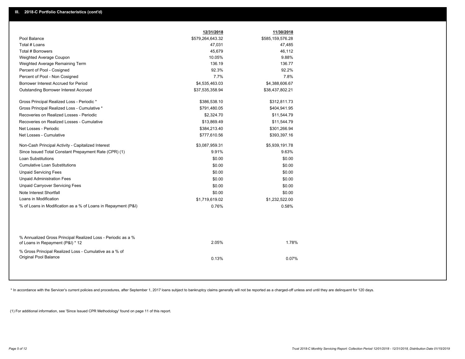|                                                                                                  | 12/31/2018       | 11/30/2018       |  |
|--------------------------------------------------------------------------------------------------|------------------|------------------|--|
| Pool Balance                                                                                     | \$579,264,643.32 | \$585,159,576.28 |  |
| Total # Loans                                                                                    | 47,031           | 47,485           |  |
| Total # Borrowers                                                                                | 45,679           | 46,112           |  |
| Weighted Average Coupon                                                                          | 10.05%           | 9.88%            |  |
| Weighted Average Remaining Term                                                                  | 136.19           | 136.77           |  |
| Percent of Pool - Cosigned                                                                       | 92.3%            | 92.2%            |  |
| Percent of Pool - Non Cosigned                                                                   | 7.7%             | 7.8%             |  |
| Borrower Interest Accrued for Period                                                             | \$4,535,463.03   | \$4,388,606.67   |  |
| <b>Outstanding Borrower Interest Accrued</b>                                                     | \$37,535,358.94  | \$38,437,802.21  |  |
| Gross Principal Realized Loss - Periodic *                                                       | \$386,538.10     | \$312,811.73     |  |
| Gross Principal Realized Loss - Cumulative *                                                     | \$791,480.05     | \$404,941.95     |  |
| Recoveries on Realized Losses - Periodic                                                         | \$2,324.70       | \$11,544.79      |  |
| Recoveries on Realized Losses - Cumulative                                                       | \$13,869.49      | \$11,544.79      |  |
| Net Losses - Periodic                                                                            | \$384,213.40     | \$301,266.94     |  |
| Net Losses - Cumulative                                                                          | \$777,610.56     | \$393,397.16     |  |
| Non-Cash Principal Activity - Capitalized Interest                                               | \$3,087,959.31   | \$5,939,191.78   |  |
| Since Issued Total Constant Prepayment Rate (CPR) (1)                                            | 9.91%            | 9.63%            |  |
| <b>Loan Substitutions</b>                                                                        | \$0.00           | \$0.00           |  |
| <b>Cumulative Loan Substitutions</b>                                                             | \$0.00           | \$0.00           |  |
| <b>Unpaid Servicing Fees</b>                                                                     | \$0.00           | \$0.00           |  |
| <b>Unpaid Administration Fees</b>                                                                | \$0.00           | \$0.00           |  |
| <b>Unpaid Carryover Servicing Fees</b>                                                           | \$0.00           | \$0.00           |  |
| Note Interest Shortfall                                                                          | \$0.00           | \$0.00           |  |
| Loans in Modification                                                                            | \$1,719,619.02   | \$1,232,522.00   |  |
| % of Loans in Modification as a % of Loans in Repayment (P&I)                                    | 0.76%            | 0.58%            |  |
|                                                                                                  |                  |                  |  |
| % Annualized Gross Principal Realized Loss - Periodic as a %<br>of Loans in Repayment (P&I) * 12 | 2.05%            | 1.78%            |  |
| % Gross Principal Realized Loss - Cumulative as a % of<br>Original Pool Balance                  | 0.13%            | 0.07%            |  |
|                                                                                                  |                  |                  |  |

\* In accordance with the Servicer's current policies and procedures, after September 1, 2017 loans subject to bankruptcy claims generally will not be reported as a charged-off unless and until they are delinquent for 120 d

(1) For additional information, see 'Since Issued CPR Methodology' found on page 11 of this report.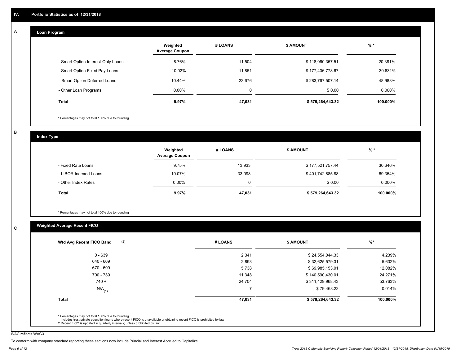#### **Loan Program**  A

|                                    | Weighted<br><b>Average Coupon</b> | # LOANS | <b>\$ AMOUNT</b> | $%$ *    |
|------------------------------------|-----------------------------------|---------|------------------|----------|
| - Smart Option Interest-Only Loans | 8.76%                             | 11,504  | \$118,060,357.51 | 20.381%  |
| - Smart Option Fixed Pay Loans     | 10.02%                            | 11.851  | \$177,436,778.67 | 30.631%  |
| - Smart Option Deferred Loans      | 10.44%                            | 23,676  | \$283,767,507.14 | 48.988%  |
| - Other Loan Programs              | $0.00\%$                          | 0       | \$0.00           | 0.000%   |
| <b>Total</b>                       | 9.97%                             | 47,031  | \$579,264,643.32 | 100.000% |

\* Percentages may not total 100% due to rounding

B

C

**Index Type**

|                       | Weighted<br><b>Average Coupon</b> | # LOANS  | <b>\$ AMOUNT</b> | $%$ *    |
|-----------------------|-----------------------------------|----------|------------------|----------|
| - Fixed Rate Loans    | 9.75%                             | 13,933   | \$177,521,757.44 | 30.646%  |
| - LIBOR Indexed Loans | 10.07%                            | 33,098   | \$401,742,885.88 | 69.354%  |
| - Other Index Rates   | $0.00\%$                          | $\Omega$ | \$0.00           | 0.000%   |
| Total                 | 9.97%                             | 47,031   | \$579,264,643.32 | 100.000% |

\* Percentages may not total 100% due to rounding

## **Weighted Average Recent FICO**

| $0 - 639$            | 2,341  | \$24,554,044.33  |          |
|----------------------|--------|------------------|----------|
|                      |        |                  | 4.239%   |
| 640 - 669            | 2,893  | \$32,625,579.31  | 5.632%   |
| 670 - 699            | 5,738  | \$69,985,153.01  | 12.082%  |
| 700 - 739            | 11,348 | \$140,590,430.01 | 24.271%  |
| $740 +$              | 24,704 | \$311,429,968.43 | 53.763%  |
| $N/A$ <sub>(1)</sub> |        | \$79,468.23      | 0.014%   |
| <b>Total</b>         | 47,031 | \$579,264,643.32 | 100.000% |

WAC reflects WAC3

To conform with company standard reporting these sections now include Princial and Interest Accrued to Capitalize.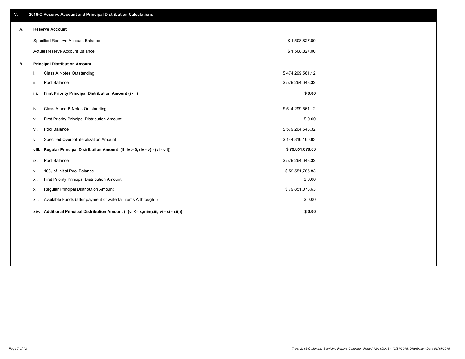| V. |       | 2018-C Reserve Account and Principal Distribution Calculations                       |                  |  |
|----|-------|--------------------------------------------------------------------------------------|------------------|--|
| А. |       | <b>Reserve Account</b>                                                               |                  |  |
|    |       | Specified Reserve Account Balance                                                    | \$1,508,827.00   |  |
|    |       | Actual Reserve Account Balance                                                       | \$1,508,827.00   |  |
| В. |       | <b>Principal Distribution Amount</b>                                                 |                  |  |
|    | i.    | <b>Class A Notes Outstanding</b>                                                     | \$474,299,561.12 |  |
|    | ii.   | Pool Balance                                                                         | \$579,264,643.32 |  |
|    | iii.  | First Priority Principal Distribution Amount (i - ii)                                | \$0.00           |  |
|    | iv.   | Class A and B Notes Outstanding                                                      | \$514,299,561.12 |  |
|    | ٧.    | First Priority Principal Distribution Amount                                         | \$0.00           |  |
|    | vi.   | Pool Balance                                                                         | \$579,264,643.32 |  |
|    | vii.  | Specified Overcollateralization Amount                                               | \$144,816,160.83 |  |
|    | viii. | Regular Principal Distribution Amount (if (iv > 0, (iv - v) - (vi - vii))            | \$79,851,078.63  |  |
|    | ix.   | Pool Balance                                                                         | \$579,264,643.32 |  |
|    | х.    | 10% of Initial Pool Balance                                                          | \$59,551,785.83  |  |
|    | xi.   | First Priority Principal Distribution Amount                                         | \$0.00           |  |
|    | xii.  | Regular Principal Distribution Amount                                                | \$79,851,078.63  |  |
|    | xiii. | Available Funds (after payment of waterfall items A through I)                       | \$0.00           |  |
|    |       | xiv. Additional Principal Distribution Amount (if(vi <= x,min(xiii, vi - xi - xii))) | \$0.00           |  |
|    |       |                                                                                      |                  |  |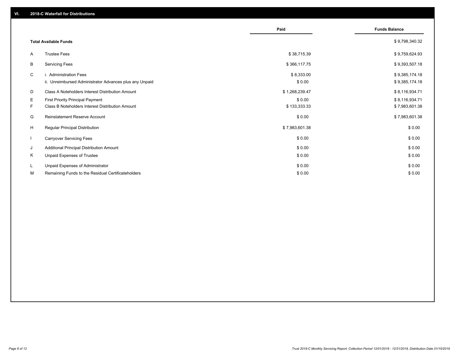|              |                                                         | Paid           | <b>Funds Balance</b> |
|--------------|---------------------------------------------------------|----------------|----------------------|
|              |                                                         |                |                      |
|              | <b>Total Available Funds</b>                            |                | \$9,798,340.32       |
| A            | <b>Trustee Fees</b>                                     | \$38,715.39    | \$9,759,624.93       |
| В            | <b>Servicing Fees</b>                                   | \$366,117.75   | \$9,393,507.18       |
| C            | i. Administration Fees                                  | \$8,333.00     | \$9,385,174.18       |
|              | ii. Unreimbursed Administrator Advances plus any Unpaid | \$0.00         | \$9,385,174.18       |
| D            | Class A Noteholders Interest Distribution Amount        | \$1,268,239.47 | \$8,116,934.71       |
| E.           | <b>First Priority Principal Payment</b>                 | \$0.00         | \$8,116,934.71       |
| F.           | Class B Noteholders Interest Distribution Amount        | \$133,333.33   | \$7,983,601.38       |
| G            | <b>Reinstatement Reserve Account</b>                    | \$0.00         | \$7,983,601.38       |
| H            | <b>Regular Principal Distribution</b>                   | \$7,983,601.38 | \$0.00               |
| $\mathbf{I}$ | <b>Carryover Servicing Fees</b>                         | \$0.00         | \$0.00               |
| J            | Additional Principal Distribution Amount                | \$0.00         | \$0.00               |
| Κ            | Unpaid Expenses of Trustee                              | \$0.00         | \$0.00               |
| L            | Unpaid Expenses of Administrator                        | \$0.00         | \$0.00               |
| м            | Remaining Funds to the Residual Certificateholders      | \$0.00         | \$0.00               |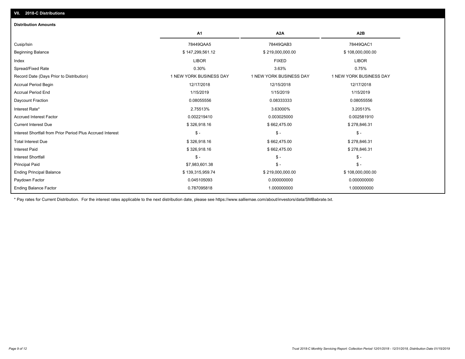| <b>Distribution Amounts</b>                                |                         |                         |                         |
|------------------------------------------------------------|-------------------------|-------------------------|-------------------------|
|                                                            | A1                      | A <sub>2</sub> A        | A <sub>2</sub> B        |
| Cusip/Isin                                                 | 78449QAA5               | 78449QAB3               | 78449QAC1               |
| <b>Beginning Balance</b>                                   | \$147,299,561.12        | \$219,000,000.00        | \$108,000,000.00        |
| Index                                                      | <b>LIBOR</b>            | <b>FIXED</b>            | <b>LIBOR</b>            |
| Spread/Fixed Rate                                          | 0.30%                   | 3.63%                   | 0.75%                   |
| Record Date (Days Prior to Distribution)                   | 1 NEW YORK BUSINESS DAY | 1 NEW YORK BUSINESS DAY | 1 NEW YORK BUSINESS DAY |
| Accrual Period Begin                                       | 12/17/2018              | 12/15/2018              | 12/17/2018              |
| <b>Accrual Period End</b>                                  | 1/15/2019               | 1/15/2019               | 1/15/2019               |
| Daycount Fraction                                          | 0.08055556              | 0.08333333              | 0.08055556              |
| Interest Rate*                                             | 2.75513%                | 3.63000%                | 3.20513%                |
| <b>Accrued Interest Factor</b>                             | 0.002219410             | 0.003025000             | 0.002581910             |
| <b>Current Interest Due</b>                                | \$326,918.16            | \$662,475.00            | \$278,846.31            |
| Interest Shortfall from Prior Period Plus Accrued Interest | $\mathsf{\$}$ -         | $\mathsf{\$}$ -         | $\mathsf{\$}$ -         |
| <b>Total Interest Due</b>                                  | \$326,918.16            | \$662,475.00            | \$278,846.31            |
| Interest Paid                                              | \$326,918.16            | \$662,475.00            | \$278,846.31            |
| <b>Interest Shortfall</b>                                  | $\mathsf{\$}$ -         | $\mathsf{\$}$ -         | $$ -$                   |
| <b>Principal Paid</b>                                      | \$7,983,601.38          | $\mathsf{\$}$ -         | \$ -                    |
| <b>Ending Principal Balance</b>                            | \$139,315,959.74        | \$219,000,000.00        | \$108,000,000.00        |
| Paydown Factor                                             | 0.045105093             | 0.000000000             | 0.000000000             |
| <b>Ending Balance Factor</b>                               | 0.787095818             | 1.000000000             | 1.000000000             |

\* Pay rates for Current Distribution. For the interest rates applicable to the next distribution date, please see https://www.salliemae.com/about/investors/data/SMBabrate.txt.

**VII. 2018-C Distributions**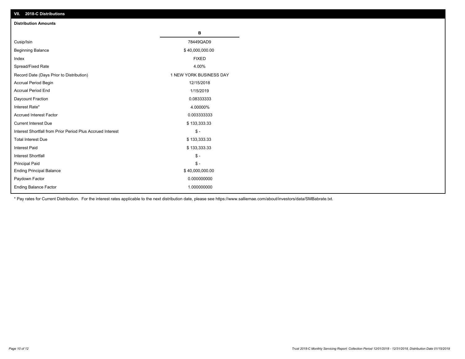| VII. 2018-C Distributions                                  |                         |
|------------------------------------------------------------|-------------------------|
| <b>Distribution Amounts</b>                                |                         |
|                                                            | в                       |
| Cusip/Isin                                                 | 78449QAD9               |
| <b>Beginning Balance</b>                                   | \$40,000,000.00         |
| Index                                                      | <b>FIXED</b>            |
| Spread/Fixed Rate                                          | 4.00%                   |
| Record Date (Days Prior to Distribution)                   | 1 NEW YORK BUSINESS DAY |
| Accrual Period Begin                                       | 12/15/2018              |
| <b>Accrual Period End</b>                                  | 1/15/2019               |
| Daycount Fraction                                          | 0.08333333              |
| Interest Rate*                                             | 4.00000%                |
| <b>Accrued Interest Factor</b>                             | 0.003333333             |
| <b>Current Interest Due</b>                                | \$133,333.33            |
| Interest Shortfall from Prior Period Plus Accrued Interest | $$ -$                   |
| <b>Total Interest Due</b>                                  | \$133,333.33            |
| Interest Paid                                              | \$133,333.33            |
| <b>Interest Shortfall</b>                                  | $$ -$                   |
| <b>Principal Paid</b>                                      | $$ -$                   |
| <b>Ending Principal Balance</b>                            | \$40,000,000.00         |
| Paydown Factor                                             | 0.000000000             |
| <b>Ending Balance Factor</b>                               | 1.000000000             |

\* Pay rates for Current Distribution. For the interest rates applicable to the next distribution date, please see https://www.salliemae.com/about/investors/data/SMBabrate.txt.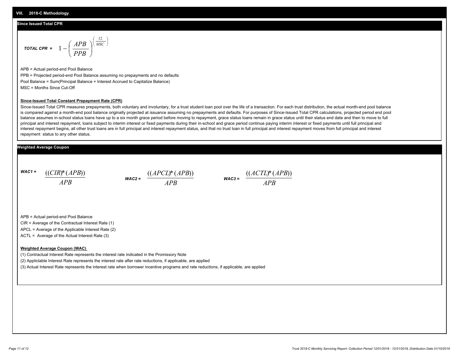### **Since Issued Total CPR**

$$
\text{total CPR} = 1 - \left(\frac{APB}{PPB}\right)^{\left(\frac{12}{MSC}\right)}
$$

APB = Actual period-end Pool Balance PPB = Projected period-end Pool Balance assuming no prepayments and no defaults Pool Balance = Sum(Principal Balance + Interest Accrued to Capitalize Balance) MSC = Months Since Cut-Off

#### **Since-Issued Total Constant Prepayment Rate (CPR)**

Since-Issued Total CPR measures prepayments, both voluntary and involuntary, for a trust student loan pool over the life of a transaction. For each trust distribution, the actual month-end pool balance is compared against a month-end pool balance originally projected at issuance assuming no prepayments and defaults. For purposes of Since-Issued Total CPR calculations, projected period end pool balance assumes in-school status loans have up to a six month grace period before moving to repayment, grace status loans remain in grace status until their status end date and then to move to full principal and interest repayment, loans subject to interim interest or fixed payments during their in-school and grace period continue paying interim interest or fixed payments until full principal and interest repayment begins, all other trust loans are in full principal and interest repayment status, and that no trust loan in full principal and interest repayment moves from full principal and interest repayment status to any other status.

### **Weighted Average Coupon**

*WAC1 = APB* ((*CIR*)\*(*APB*))

*WAC2 = APB*



APB = Actual period-end Pool Balance

CIR = Average of the Contractual Interest Rate (1)

APCL = Average of the Applicable Interest Rate (2)

ACTL = Average of the Actual Interest Rate (3)

#### **Weighted Average Coupon (WAC)**

(1) Contractual Interest Rate represents the interest rate indicated in the Promissory Note

(2) Appliclable Interest Rate represents the interest rate after rate reductions, if applicable, are applied

(3) Actual Interest Rate represents the interest rate when borrower incentive programs and rate reductions, if applicable, are applied